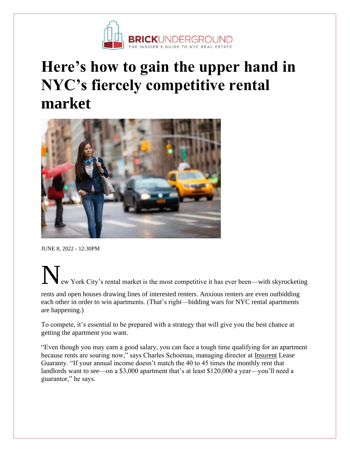

## **Here's how to gain the upper hand in NYC's fiercely competitive rental market**



JUNE 8, 2022 - 12:30PM

ew York City's rental market is the most competitive it has ever been—with skyrocketing

rents and open houses drawing lines of interested renters. Anxious renters are even outbidding each other in order to win apartments. (That's right—bidding wars for NYC rental apartments are happening.)

To compete, it's essential to be prepared with a strategy that will give you the best chance at getting the apartment you want.

"Even though you may earn a good salary, you can face a tough time qualifying for an apartment because rents are soaring now," says Charles Schoenau, managing director at [Insurent](http://www.insurent.com/) Lease Guaranty. "If your annual income doesn't match the 40 to 45 times the monthly rent that landlords want to see—on a \$3,000 apartment that's at least \$120,000 a year—you'll need a guarantor," he says.